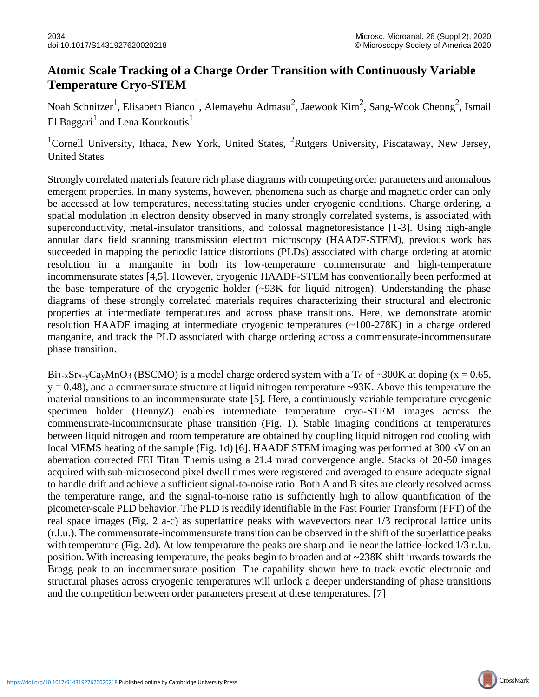CrossMark

## **Atomic Scale Tracking of a Charge Order Transition with Continuously Variable Temperature Cryo-STEM**

Noah Schnitzer<sup>1</sup>, Elisabeth Bianco<sup>1</sup>, Alemayehu Admasu<sup>2</sup>, Jaewook Kim<sup>2</sup>, Sang-Wook Cheong<sup>2</sup>, Ismail El Baggari $^1$  and Lena Kourkoutis $^1$ 

<sup>1</sup>Cornell University, Ithaca, New York, United States, <sup>2</sup>Rutgers University, Piscataway, New Jersey, United States

Strongly correlated materials feature rich phase diagrams with competing order parameters and anomalous emergent properties. In many systems, however, phenomena such as charge and magnetic order can only be accessed at low temperatures, necessitating studies under cryogenic conditions. Charge ordering, a spatial modulation in electron density observed in many strongly correlated systems, is associated with superconductivity, metal-insulator transitions, and colossal magnetoresistance [1-3]. Using high-angle annular dark field scanning transmission electron microscopy (HAADF-STEM), previous work has succeeded in mapping the periodic lattice distortions (PLDs) associated with charge ordering at atomic resolution in a manganite in both its low-temperature commensurate and high-temperature incommensurate states [4,5]. However, cryogenic HAADF-STEM has conventionally been performed at the base temperature of the cryogenic holder  $(\sim)3K$  for liquid nitrogen). Understanding the phase diagrams of these strongly correlated materials requires characterizing their structural and electronic properties at intermediate temperatures and across phase transitions. Here, we demonstrate atomic resolution HAADF imaging at intermediate cryogenic temperatures (~100-278K) in a charge ordered manganite, and track the PLD associated with charge ordering across a commensurate-incommensurate phase transition.

Bi<sub>1-x</sub>Sr<sub>x-y</sub>Ca<sub>y</sub>MnO<sub>3</sub> (BSCMO) is a model charge ordered system with a T<sub>c</sub> of ~300K at doping (x = 0.65,  $y = 0.48$ ), and a commensurate structure at liquid nitrogen temperature ~93K. Above this temperature the material transitions to an incommensurate state [5]. Here, a continuously variable temperature cryogenic specimen holder (HennyZ) enables intermediate temperature cryo-STEM images across the commensurate-incommensurate phase transition (Fig. 1). Stable imaging conditions at temperatures between liquid nitrogen and room temperature are obtained by coupling liquid nitrogen rod cooling with local MEMS heating of the sample (Fig. 1d) [6]. HAADF STEM imaging was performed at 300 kV on an aberration corrected FEI Titan Themis using a 21.4 mrad convergence angle. Stacks of 20-50 images acquired with sub-microsecond pixel dwell times were registered and averaged to ensure adequate signal to handle drift and achieve a sufficient signal-to-noise ratio. Both A and B sites are clearly resolved across the temperature range, and the signal-to-noise ratio is sufficiently high to allow quantification of the picometer-scale PLD behavior. The PLD is readily identifiable in the Fast Fourier Transform (FFT) of the real space images (Fig. 2 a-c) as superlattice peaks with wavevectors near 1/3 reciprocal lattice units (r.l.u.). The commensurate-incommensurate transition can be observed in the shift of the superlattice peaks with temperature (Fig. 2d). At low temperature the peaks are sharp and lie near the lattice-locked 1/3 r.l.u. position. With increasing temperature, the peaks begin to broaden and at ~238K shift inwards towards the Bragg peak to an incommensurate position. The capability shown here to track exotic electronic and structural phases across cryogenic temperatures will unlock a deeper understanding of phase transitions and the competition between order parameters present at these temperatures. [7]